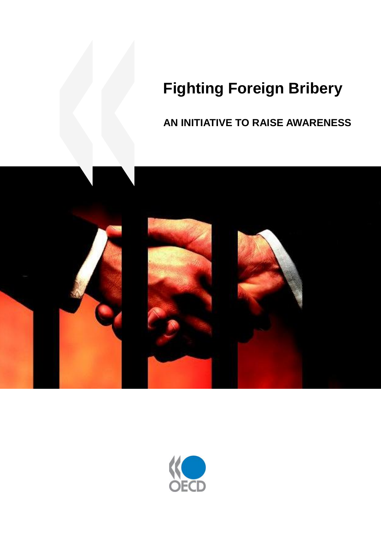# **Fighting Foreign Bribery**

# **AN INITIATIVE TO RAISE AWARENESS**



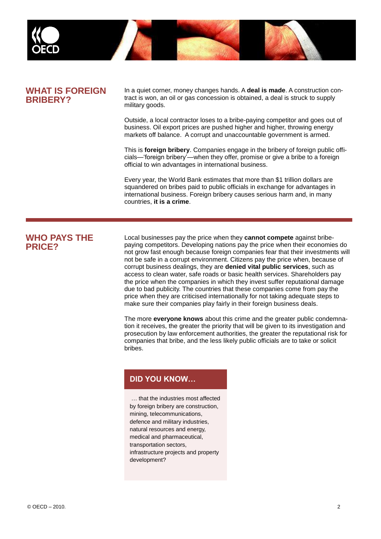

#### **WHAT IS FOREIGN BRIBERY?**

In a quiet corner, money changes hands. A **deal is made**. A construction contract is won, an oil or gas concession is obtained, a deal is struck to supply military goods.

Outside, a local contractor loses to a bribe-paying competitor and goes out of business. Oil export prices are pushed higher and higher, throwing energy markets off balance. A corrupt and unaccountable government is armed.

This is **foreign bribery**. Companies engage in the bribery of foreign public officials—'foreign bribery'—when they offer, promise or give a bribe to a foreign official to win advantages in international business.

Every year, the World Bank estimates that more than \$1 trillion dollars are squandered on bribes paid to public officials in exchange for advantages in international business. Foreign bribery causes serious harm and, in many countries, **it is a crime**.

#### **WHO PAYS THE PRICE?**

Local businesses pay the price when they **cannot compete** against bribepaying competitors. Developing nations pay the price when their economies do not grow fast enough because foreign companies fear that their investments will not be safe in a corrupt environment. Citizens pay the price when, because of corrupt business dealings, they are **denied vital public services**, such as access to clean water, safe roads or basic health services. Shareholders pay the price when the companies in which they invest suffer reputational damage due to bad publicity. The countries that these companies come from pay the price when they are criticised internationally for not taking adequate steps to make sure their companies play fairly in their foreign business deals.

The more **everyone knows** about this crime and the greater public condemnation it receives, the greater the priority that will be given to its investigation and prosecution by law enforcement authorities, the greater the reputational risk for companies that bribe, and the less likely public officials are to take or solicit bribes.

#### **DID YOU KNOW…**

… that the industries most affected by foreign bribery are construction, mining, telecommunications, defence and military industries, natural resources and energy, medical and pharmaceutical, transportation sectors, infrastructure projects and property development?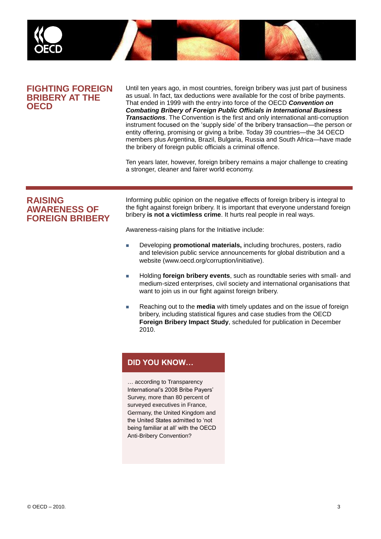

#### **FIGHTING FOREIGN BRIBERY AT THE OECD**

Until ten years ago, in most countries, foreign bribery was just part of business as usual. In fact, tax deductions were available for the cost of bribe payments. That ended in 1999 with the entry into force of the OECD *Convention on Combating Bribery of Foreign Public Officials in International Business Transactions*. The Convention is the first and only international anti-corruption instrument focused on the 'supply side' of the bribery transaction—the person or entity offering, promising or giving a bribe. Today 39 countries—the 34 OECD members plus Argentina, Brazil, Bulgaria, Russia and South Africa—have made the bribery of foreign public officials a criminal offence.

Ten years later, however, foreign bribery remains a major challenge to creating a stronger, cleaner and fairer world economy.

#### **RAISING AWARENESS OF FOREIGN BRIBERY**

Informing public opinion on the negative effects of foreign bribery is integral to the fight against foreign bribery. It is important that everyone understand foreign bribery **is not a victimless crime**. It hurts real people in real ways.

Awareness-raising plans for the Initiative include:

- Developing **promotional materials,** including brochures, posters, radio and television public service announcements for global distribution and a website (www.oecd.org/corruption/initiative).
- **Holding foreign bribery events**, such as roundtable series with small- and medium-sized enterprises, civil society and international organisations that want to join us in our fight against foreign bribery.
- Reaching out to the **media** with timely updates and on the issue of foreign bribery, including statistical figures and case studies from the OECD **Foreign Bribery Impact Study**, scheduled for publication in December 2010.

# **DID YOU KNOW…**

… according to Transparency International's 2008 Bribe Payers' Survey, more than 80 percent of surveyed executives in France, Germany, the United Kingdom and the United States admitted to 'not being familiar at all' with the OECD Anti-Bribery Convention?